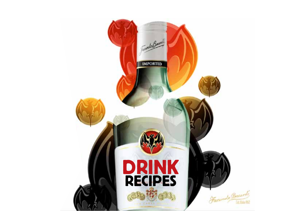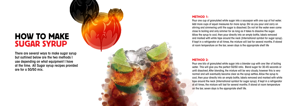There are several ways to make sugar syrup but outlined below are the two methods I use depending on what equipment I have at the time. All Sugar syrup recipes provided are for a 50/50 mix.



Pour one kilo of granulated white sugar into a blender cup with one liter of boiling water. This will give you the perfect 50/50 ratio. Blend sugar for 30-45 seconds or until dissolved. After blending, the mixture will be very cloudy, however this is very normal and will eventually become clear as the syrup settles. Allow the syrup to cool, then pour directly into an empty bottle, labels removed and marked with white tape around the neck (International symbol for sugar syrup). If kept in a refrigerator at all times, the mixture will last for several months. If stored at room temperature

**METHOD 1:**<br>Pour one cup of granulated white sugar into a saudad more cups of equal measures for more syrup.<br>stirring and simmering until the sugar is dissolved<br>close to boiling and only simmer for as long as it t<br>Allow th Pour one cup of granulated white sugar into a saucepan with one cup of hot water. Add more cups of equal measures for more syrup. Stir as you pour and carry on stirring and simmering until the sugar is dissolved. Do not let the water even come close to boiling and only simmer for as long as it takes to dissolve the sugar. Allow the syrup to cool, then pour directly into an empty bottle, labels removed and marked with white tape around the neck (International symbol for sugar syrup). If kept in a refrigerator at all times, the mixture will last for several months. If stored at room temperature on the bar, seven days is the appropriate shelf life

# METHOD 2:

# HOW TO MAKE SUGAR SYRUP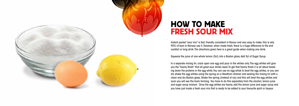Instant packet "sour mix" is fast, friendly, consistent in flavour and very easy to make; this is why 90% of bars in Norway use it. However, when made fresh, there is a huge difference to the end cocktail or long drink. The directions given here is a great guide when making one drink.

Squeeze the juice of one whole lemon (5cl) into a Boston glass. Add 3cl of Sugar Syrup.

In a separate mixing tin, crack open one egg and pour in the whites only. The egg whites will give you the "foamy finish" that all great sour drinks need. To get that foamy finish it is all about breaking down the proteins in the egg white. You can use an egg whisk to beat the egg whites, or you can dry shake the egg whites using the spring on a Hawthorn strainer and sealing the mixing tin with a clean and dry Boston glass. Shake the spring (instead of ice) and this will beat the egg whites and soon you will see the foam forming. You have to do this separately from the alcohol, lemon juice and sugar syrup mixture. Once the egg whites are foamy, add the lemon juice and sugar syrup and you have just made a fresh sour mix that is ready to be added to your favourite spirit or liqueur.





# HOW TO MAKE FRESH SOUR MIX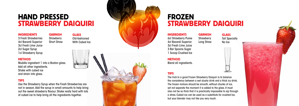# **HAND PRESSED<br>STRAWBERRY DAIQUIRI**

# **INGREDIENTS**

# **GARNISH**

Old-fashioned With Cubed Ice



# FROZEN<br>STRAWBERRY DAIQUIRI

# **INGREDIENTS**

METHO D

Muddle ingredient 1 into a Boston glass. Add all other ingredients. Shake with cubed ice and strain into glass.

3 Fresh Strawberries 4cl Bacardi Superior 3cl Fresh Lime Juice 2cl Sugar Syrup 1cl Strawberry Syrup **Strawberry** Short Straw

# TIPS

Use the Strawberry Syrup when the Fresh Strawberries are not in season. Add the syrup in small amounts to help bring out the sweet strawberry flavour. Shake really hard with lots of cubed ice to help bring all the ingredients together.

**GLASS** 

**Strawberry** Long Straw

**GARNISH** 

Tall Specialty No Ice

![](_page_3_Picture_22.jpeg)

![](_page_3_Picture_23.jpeg)

Blend all ingredients.

6cl Strawberry Puree 4cl Bacardi Superior 3cl Fresh Lime Juice 3 Bar Spoons Sugar 1 Scoop Crushed Ice

# TIPS

**METHOD** 

The trick to a good Frozen Strawberry Daiquiri is to balance the consistency between a wet slushy drink and a thick icy drink. The frozen mixture should be smooth, without chunks of ice, yet not separate the moment it is added to the glass. It must also not be so thick that it is practically impossible to sip through a straw. Cubed ice can be used as a substitute for crushed Ice, but your blender may not like you very much.

# **GLASS**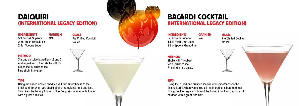# DAIQUIRI (International Legacy Edition)

**GLASS** Pre Chilled Cocktail No Ice

# **METHOD**

# BACARDI COCKTAIL (International Legacy Edition)

**GARNISH** 

### **INGREDIENTS**

Stir and dissolve ingredients 2 and 3. Add ingredient 1, then shake with ½ cubed ice, ½ crushed ice. Fine strain into glass.

### INGREDIENTS

# **GARNISH**

5cl Bacardi Superior 2,5cl Fresh Lime Juice 2 Bar Spoons Sugar

# TIPS

Using the cubed and crushed ice will add smoothness to the finished drink when you shake all the ingredients hard and fast. This gives the Legacy Edition of the Daiquiri a wonderful balance with a great rum kick.

![](_page_4_Picture_9.jpeg)

N/A

Pre Chilled Cocktail

![](_page_4_Picture_23.jpeg)

No Ice

![](_page_4_Picture_15.jpeg)

# **METHOD**

Shake with ½ cubed ice,½ crushed ice. Fine strain into glass.

TIPS

5cl Bacardi Superior 1,5cl Fresh Lime Juice 2 Bar Spoons Grenadine N/A

Using the cubed and crushed ice will add smoothness to the finished drink when you shake all the ingredients hard and fast. This gives the Legacy Edition of the Bacardi Cocktail a wonderful balance with a great rum kick.

![](_page_4_Picture_20.jpeg)

# **GLASS**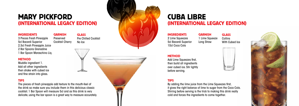### MARY PICKF ORD (INTERNATIONAL LEGACY EDITION) n i i n

# **INGREDIENTS**

# **GARNISH**

# CUBA LIBRE (INTERNATIONAL LEGACY EDITION) i

**GLASS** Pre Chilled Cocktail No Ice

# **INGREDIENTS**

![](_page_5_Picture_9.jpeg)

# i

# METHO D

Muddle ingredient 1. Add all other ingredients then shake with cubed ice and fine strain into glass.

3 Pieces Fresh Pineapple 5cl Bacardi Superior 2,5cl Fresh Pineapple Juice 2 Bar Spoons Grenadine 1 Bar Spoon Maraschino Liq.

# **GLASS Collins** With Cubed Ice

![](_page_5_Picture_21.jpeg)

![](_page_5_Picture_22.jpeg)

# TIPS

The pieces of fresh pineapple add texture to the mouth-feel of the drink so make sure you include them in this delicious classic cocktail. 1 Bar Spoon will measure 5cl and as this drink is very delicate, using the bar spoon is a great way to measure accurately.

**GARNISH** 1 Lime Squeeze Long Straw

# **METHOD**

Preserved Cocktail Cherry

> Add Lime Squeezes first, then build all ingredients over cubed ice. Stir lightly before serving.

2 Lime Squeezes 5cl Bacardi Superior 10cl Coca Cola

# TIPS

By adding the lime juice from the Lime Squeezes first, it gives the right balance of lime to sugar from the Coca Cola. Stirring before serving is the trick to making this drink really cold and forces the ingredients to come together.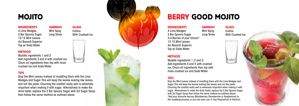# **MOJITO**

# **INGREDIENTS**

With Crushed Ice

# **METHOD**

4 Lime Wedges 2 Bar Spoons Sugar 12-15 Mint Leaves 4cl Bacardi Superior Top w/ Soda Water

# TIPS

**GARNISH** Mint Sprig Long Straw

**GLASS Collins** 

# **GLASS** Collins With Crushed Ice

![](_page_6_Picture_18.jpeg)

Slap the Mint Leaves instead of muddling them with the Lime Wedges and Sugar. This will keep the leaves looking like leaves and not like pesto. Churning the cocktail really well is extremely important when making it with sugar. Alternatively to make the drink faster, replace the 2 Bar Spoons Sugar with 2cl Sugar Syrup then follow the same method as outlined above.

![](_page_6_Picture_8.jpeg)

# OJITO **BERRY GOOD MOJITO**

# **INGREDIENTS**

# METHO D

Muddle ingredients 1, 2 and 3. Add ingredients 4 and 5 with crushed ice. Churn all ingredients then top with more crushed ice and Soda Water.

**GARNISH** Mint Sprig Long Straw

4 Lime Wedges

2 Bar Spoons Sugar 3-4 Berries of your choice\* 12-15 Mint Leaves 4cl Bacardi Superior Top w/ Soda Water

### TIPS

Slap the Mint Leaves instead of muddling them with the Lime Wedges and Sugar. This will keep the leaves looking like leaves and not like pesto. Churning the cocktail really well is extremely important when making it with sugar. Alternatively to make the drink faster, replace the 2 Bar Spoons Sugar with 2cl Sugar Syrup then follow the same method as outlined above. \*Add your favourite berries (Blackberries, Strawberries or Raspberries) to the muddling process, or you can even use ½ ripe Passionfruit or Kiwifruit.

Muddle ingredients 1 and 2. Add ingredients 3 and 4 with crushed ice. Churn all ingredients then top with more crushed ice and Soda Water.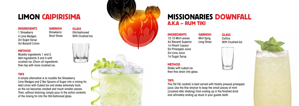# LIM ON CAIPIRISIMA

# **INGREDIENTS**

# Old-fashioned With Crushed Ice

# METHO D

Muddle ingredients 1 and 2. Add ingredients 3 and 4 with crushed ice. Churn all ingredients then top with more crushed ice.

1 Strawberry 4 Lime Wedges 2cl Sugar Syrup 4cl Bacardi Limon

# TIPS

# **GARNISH Strawberry** Short Straw

**GLASS** 

# **GLASS Collins** With Crushed Ice

![](_page_7_Picture_19.jpeg)

![](_page_7_Picture_20.jpeg)

A simple alternative is to muddle the Strawberry, Lime Wedges and 2 Bar Spoons of Sugar into a mixing tin. Add Limon with Cubed Ice and shake extremely hard, so the ice becomes cracked and much smaller pieces. Then, without straining, simply pour in the entire contents of the mixing tin into the Old-fashioned glass.

**GARNISH** Mint Sprig Long Straw

# **INGREDIENTS**

# MISSI ONARIES D OWNFALL A.K.A – Rum Tiki

Shake with cubed ice then fine strain into glass.

12-15 Mint Leaves 4cl Bacardi Superior 1cl Peach Liqueur 5cl Pineapple Juice 2cl Lime Juice 1cl Sugar Syrup

# **METHOD**

# TIPS

This Tiki Tiki cocktail is best served with freshly pressed pineapple juice. Use the fine strainer to keep the small pieces of mint (crushed after shaking) from ending up in the finished drink and ultimately ending up stuck in your guests teeth.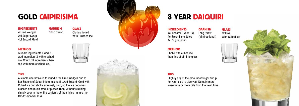**GLASS** Old-fashioned With Crushed Ice

# **METHOD**

Muddle ingredients 1 and 2. Add ingredient 3 with crushed ice. Churn all ingredients then top with more crushed ice.

# GOLD CAIPIRISIMA **1999 WARE WAS SEER DAIQUIRI**

INGREDIENTS

4 Lime Wedges 2cl Sugar Syrup 4cl Bacardi Gold

# TIPS

A simple alternative is to muddle the Lime Wedges and 2 Bar Spoons of Sugar into a mixing tin. Add Bacardi Gold with Cubed Ice and shake extremely hard, so the ice becomes cracked and much smaller pieces. Then, without straining, simply pour in the entire contents of the mixing tin into the Old-fashioned Glass.

![](_page_8_Picture_9.jpeg)

**GARNISH** Long Straw

# GARNISH Short Straw

![](_page_8_Picture_18.jpeg)

![](_page_8_Picture_19.jpeg)

![](_page_8_Picture_20.jpeg)

Shake with cubed ice then fine strain into glass.

![](_page_8_Picture_15.jpeg)

# INGREDIENTS 4cl Bacardi 8 Year Old 4cl Fresh Lime Juice 4cl Sugar Syrup

# TIPS

Slightly adjust the amount of Sugar Syrup for your taste to give your Daiquiri more sweetness or more bite from the fresh lime.

(Mint optional)

# **METHOD**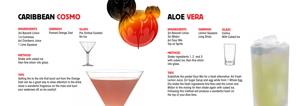# CARIBBEAN COSM

**INGREDIENTS** 

![](_page_9_Picture_11.jpeg)

**GLASS** Pre Chilled Cocktail No Ice

![](_page_9_Picture_5.jpeg)

METHO D

Shake with cubed ice then fine strain into glass.

3cl Bacardi Limon 1cl Cointreau 6cl Cranberry Juice 1 Lime Squeeze

# TIPS

**GARNISH** Flamed Orange Zest

# **GLASS** Collins With Cubed Ice

![](_page_9_Picture_20.jpeg)

![](_page_9_Picture_21.jpeg)

**INGREDIENTS** 2cl Bacardi Limon 2cl Midori 6cl Sour Mix Top w/ Sprite

Setting fire to the oils that burst out from the Orange Zest can be a great way to draw attention to the drink, leave a wonderful fragrance on the nose and burn your eyebrows off, so be careful!

![](_page_9_Picture_10.jpeg)

**GARNISH** Lemon Squeeze Long Straw

# **METHOD**

Shake ingredients 1, 2 and 3 with cubed ice, then fine strain into glass.

# TIPS

Substitute the packet Sour Mix for a fresh alternative. 4cl Fresh Lemon Juice, 2cl Sugar Syrup and egg white from 1 Whole Egg. Dry shake the fresh ingredients first then add the Limon and Midori to the mixing tin then shake again with cubed ice. Following this method will produce a wonderful foam on the top of your Aloe Vera.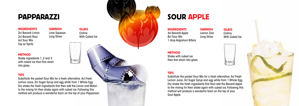# PAPPARAZZ I

**INGREDIENTS** 

# S OUR APPLE

**GLASS** Collins With Cubed Ice

![](_page_10_Picture_8.jpeg)

### METHO D

Shake ingredients 1, 2 and 3 with cubed ice then fine strain into glass.

2cl Bacardi Limon 2cl Bacardi Razz 6cl Sour Mix Top w/ Sprite

# TIPS

**GARNISH** Lime Squeeze Long Straw

# **GLASS** Collins With Cubed Ice

![](_page_10_Picture_17.jpeg)

![](_page_10_Picture_18.jpeg)

# **INGREDIENTS** 4cl Bacardi Apple 8cl Sour Mix 1 drop Angostura Bitters

Substitute the packet Sour Mix for a fresh alternative. 4cl Fresh Lemon Juice, 2cl Sugar Syrup and egg white from 1 Whole Egg. Dry shake the fresh ingredients first then add the Limon and Midori to the mixing tin then shake again with cubed ice. Following this method will produce a wonderful foam on the top of your Papparazzi.

**GARNISH** Lemon Zest Long Straw

# METHO D

Shake with cubed ice then fine strain into glass.

# TIPS

Substitute the packet Sour Mix for a fresh alternative. 5cl Fresh Lemon Juice, 3cl Sugar Syrup and egg white from 1 Whole Egg. Dry shake the fresh ingredients first then add the Bacardi Apple to the mixing tin then shake again with cubed ice. Following this method will produce a wonderful foam on the top of your Sour Apple.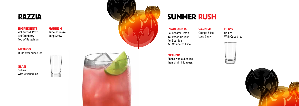![](_page_11_Picture_0.jpeg)

### **INGREDIENTS**

# **GLASS** Collins With Crushed Ice

![](_page_11_Picture_6.jpeg)

![](_page_11_Picture_7.jpeg)

## METHO D Build over cubed ice.

**GARNISH** Lime Squeeze Long Straw

# **GLASS** Collins With Cubed Ice

![](_page_11_Picture_15.jpeg)

![](_page_11_Picture_16.jpeg)

4cl Bacardi Razz 4cl Cranberry Top w/ Russchian

# SUMMER RUS H

### **INGREDIENTS**

Shake with cubed ice then strain into glass.

3cl Bacardi Limon 1cl Peach Liqueur 4cl Sour Mix 4cl Cranberry Juice

# Orange Slice

**GARNISH** 

Long Straw

**METHOD**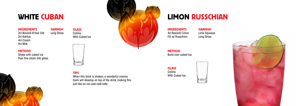# LIMON RUSSCHIAN

GLASS Collins With Cubed Ice

![](_page_12_Picture_13.jpeg)

![](_page_12_Picture_14.jpeg)

![](_page_12_Picture_15.jpeg)

**METHOD** Build over cubed ice.

INGREDIENTS 4cl Bacardi Limon Fill w/ Russchian

GARNISH Lime Squeeze Long Straw

# WHITE CUBAN

Shake with cubed ice then fine strain into glass.

**GLASS** Collins With Cubed Ice GARNISH Long Straw

![](_page_12_Picture_4.jpeg)

INGREDIENTS

**METHOD** 

2cl Bacardi 8 Year Old 2cl Kahlua 4cl Cream 4cl Milk

TIPS

When this drink is shaken, a wonderful creamy foam will develop on top of the drink, making this just like an ice cold café latte.

![](_page_12_Picture_7.jpeg)